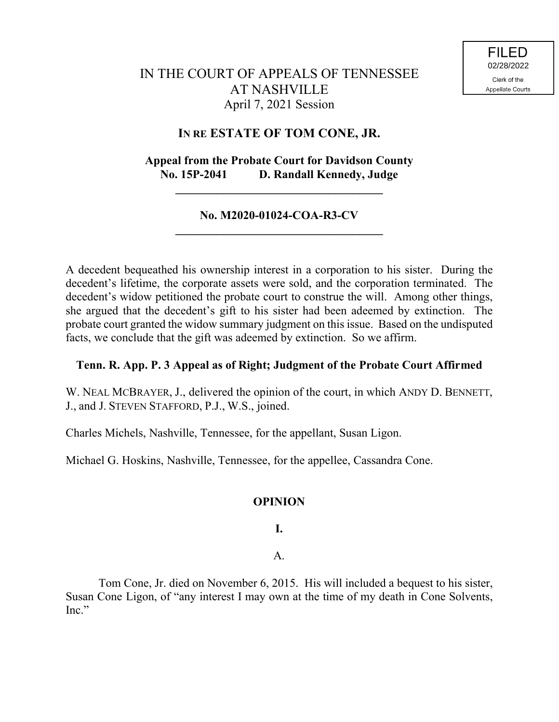# IN THE COURT OF APPEALS OF TENNESSEE AT NASHVILLE April 7, 2021 Session

# **IN RE ESTATE OF TOM CONE, JR.**

# **Appeal from the Probate Court for Davidson County No. 15P-2041 D. Randall Kennedy, Judge**

**\_\_\_\_\_\_\_\_\_\_\_\_\_\_\_\_\_\_\_\_\_\_\_\_\_\_\_\_\_\_\_\_\_\_\_**

### **No. M2020-01024-COA-R3-CV \_\_\_\_\_\_\_\_\_\_\_\_\_\_\_\_\_\_\_\_\_\_\_\_\_\_\_\_\_\_\_\_\_\_\_**

A decedent bequeathed his ownership interest in a corporation to his sister. During the decedent's lifetime, the corporate assets were sold, and the corporation terminated. The decedent's widow petitioned the probate court to construe the will. Among other things, she argued that the decedent's gift to his sister had been adeemed by extinction. The probate court granted the widow summary judgment on this issue. Based on the undisputed facts, we conclude that the gift was adeemed by extinction. So we affirm.

### **Tenn. R. App. P. 3 Appeal as of Right; Judgment of the Probate Court Affirmed**

W. NEAL MCBRAYER, J., delivered the opinion of the court, in which ANDY D. BENNETT, J., and J. STEVEN STAFFORD, P.J., W.S., joined.

Charles Michels, Nashville, Tennessee, for the appellant, Susan Ligon.

Michael G. Hoskins, Nashville, Tennessee, for the appellee, Cassandra Cone.

## **OPINION**

**I.**

A.

Tom Cone, Jr. died on November 6, 2015. His will included a bequest to his sister, Susan Cone Ligon, of "any interest I may own at the time of my death in Cone Solvents, Inc."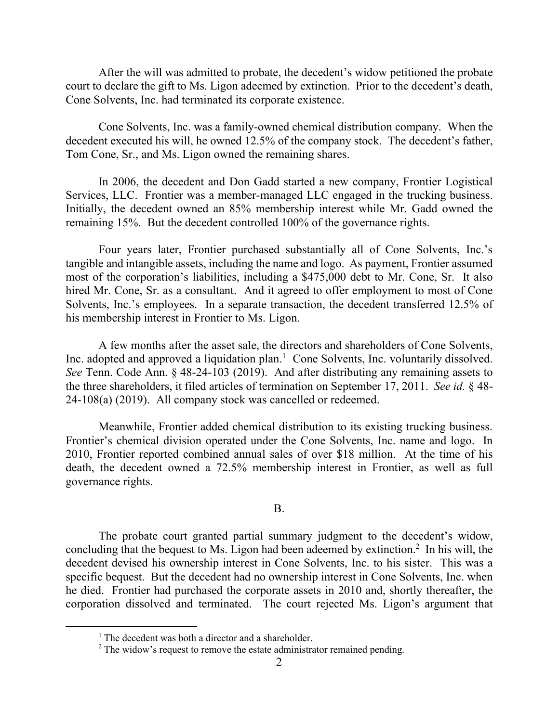After the will was admitted to probate, the decedent's widow petitioned the probate court to declare the gift to Ms. Ligon adeemed by extinction. Prior to the decedent's death, Cone Solvents, Inc. had terminated its corporate existence.

Cone Solvents, Inc. was a family-owned chemical distribution company. When the decedent executed his will, he owned 12.5% of the company stock. The decedent's father, Tom Cone, Sr., and Ms. Ligon owned the remaining shares.

In 2006, the decedent and Don Gadd started a new company, Frontier Logistical Services, LLC. Frontier was a member-managed LLC engaged in the trucking business. Initially, the decedent owned an 85% membership interest while Mr. Gadd owned the remaining 15%. But the decedent controlled 100% of the governance rights.

Four years later, Frontier purchased substantially all of Cone Solvents, Inc.'s tangible and intangible assets, including the name and logo. As payment, Frontier assumed most of the corporation's liabilities, including a \$475,000 debt to Mr. Cone, Sr. It also hired Mr. Cone, Sr. as a consultant. And it agreed to offer employment to most of Cone Solvents, Inc.'s employees. In a separate transaction, the decedent transferred 12.5% of his membership interest in Frontier to Ms. Ligon.

A few months after the asset sale, the directors and shareholders of Cone Solvents, Inc. adopted and approved a liquidation plan.<sup>1</sup> Cone Solvents, Inc. voluntarily dissolved. *See* Tenn. Code Ann. § 48-24-103 (2019). And after distributing any remaining assets to the three shareholders, it filed articles of termination on September 17, 2011. *See id.* § 48- 24-108(a) (2019). All company stock was cancelled or redeemed.

Meanwhile, Frontier added chemical distribution to its existing trucking business. Frontier's chemical division operated under the Cone Solvents, Inc. name and logo. In 2010, Frontier reported combined annual sales of over \$18 million. At the time of his death, the decedent owned a 72.5% membership interest in Frontier, as well as full governance rights.

#### B.

The probate court granted partial summary judgment to the decedent's widow, concluding that the bequest to Ms. Ligon had been adeemed by extinction. 2 In his will, the decedent devised his ownership interest in Cone Solvents, Inc. to his sister. This was a specific bequest. But the decedent had no ownership interest in Cone Solvents, Inc. when he died. Frontier had purchased the corporate assets in 2010 and, shortly thereafter, the corporation dissolved and terminated. The court rejected Ms. Ligon's argument that

 $1$  The decedent was both a director and a shareholder.

 $2$  The widow's request to remove the estate administrator remained pending.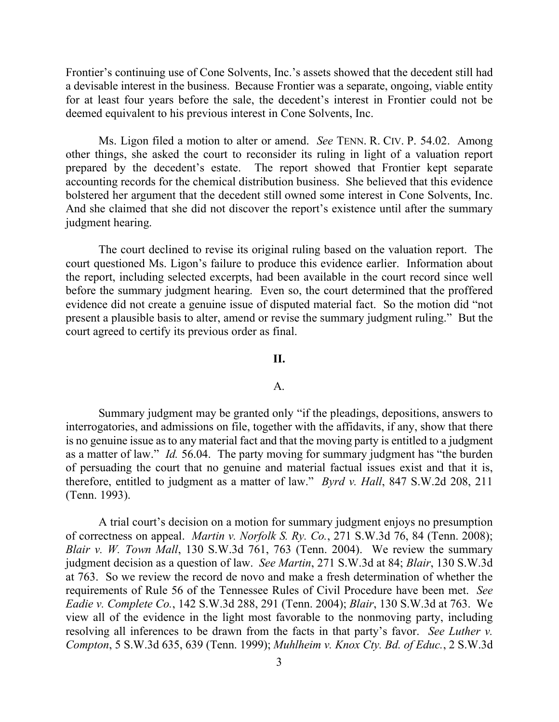Frontier's continuing use of Cone Solvents, Inc.'s assets showed that the decedent still had a devisable interest in the business. Because Frontier was a separate, ongoing, viable entity for at least four years before the sale, the decedent's interest in Frontier could not be deemed equivalent to his previous interest in Cone Solvents, Inc.

Ms. Ligon filed a motion to alter or amend. *See* TENN. R. CIV. P. 54.02. Among other things, she asked the court to reconsider its ruling in light of a valuation report prepared by the decedent's estate. The report showed that Frontier kept separate accounting records for the chemical distribution business. She believed that this evidence bolstered her argument that the decedent still owned some interest in Cone Solvents, Inc. And she claimed that she did not discover the report's existence until after the summary judgment hearing.

The court declined to revise its original ruling based on the valuation report. The court questioned Ms. Ligon's failure to produce this evidence earlier. Information about the report, including selected excerpts, had been available in the court record since well before the summary judgment hearing. Even so, the court determined that the proffered evidence did not create a genuine issue of disputed material fact. So the motion did "not present a plausible basis to alter, amend or revise the summary judgment ruling." But the court agreed to certify its previous order as final.

#### **II.**

#### A.

Summary judgment may be granted only "if the pleadings, depositions, answers to interrogatories, and admissions on file, together with the affidavits, if any, show that there is no genuine issue as to any material fact and that the moving party is entitled to a judgment as a matter of law." *Id.* 56.04. The party moving for summary judgment has "the burden of persuading the court that no genuine and material factual issues exist and that it is, therefore, entitled to judgment as a matter of law." *Byrd v. Hall*, 847 S.W.2d 208, 211 (Tenn. 1993).

A trial court's decision on a motion for summary judgment enjoys no presumption of correctness on appeal. *Martin v. Norfolk S. Ry. Co.*, 271 S.W.3d 76, 84 (Tenn. 2008); *Blair v. W. Town Mall*, 130 S.W.3d 761, 763 (Tenn. 2004). We review the summary judgment decision as a question of law. *See Martin*, 271 S.W.3d at 84; *Blair*, 130 S.W.3d at 763. So we review the record de novo and make a fresh determination of whether the requirements of Rule 56 of the Tennessee Rules of Civil Procedure have been met. *See Eadie v. Complete Co.*, 142 S.W.3d 288, 291 (Tenn. 2004); *Blair*, 130 S.W.3d at 763. We view all of the evidence in the light most favorable to the nonmoving party, including resolving all inferences to be drawn from the facts in that party's favor. *See Luther v. Compton*, 5 S.W.3d 635, 639 (Tenn. 1999); *Muhlheim v. Knox Cty. Bd. of Educ.*, 2 S.W.3d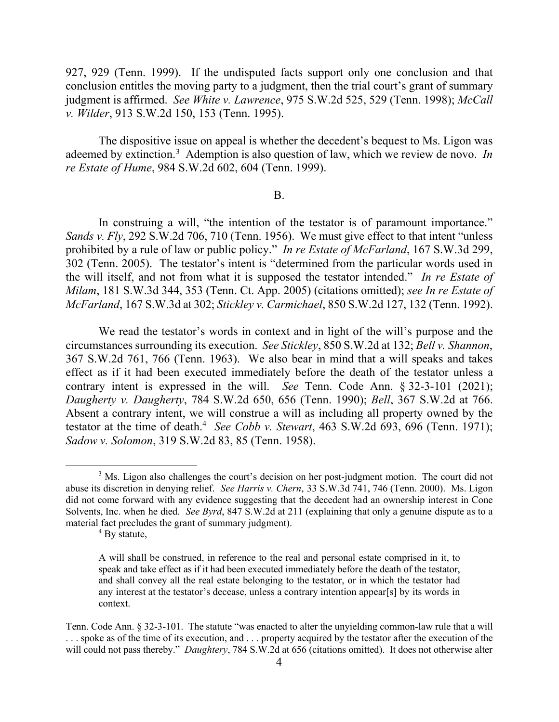927, 929 (Tenn. 1999). If the undisputed facts support only one conclusion and that conclusion entitles the moving party to a judgment, then the trial court's grant of summary judgment is affirmed. *See White v. Lawrence*, 975 S.W.2d 525, 529 (Tenn. 1998); *McCall v. Wilder*, 913 S.W.2d 150, 153 (Tenn. 1995).

The dispositive issue on appeal is whether the decedent's bequest to Ms. Ligon was adeemed by extinction.<sup>3</sup> Ademption is also question of law, which we review de novo. *In re Estate of Hume*, 984 S.W.2d 602, 604 (Tenn. 1999).

#### B.

In construing a will, "the intention of the testator is of paramount importance." *Sands v. Fly*, 292 S.W.2d 706, 710 (Tenn. 1956). We must give effect to that intent "unless prohibited by a rule of law or public policy." *In re Estate of McFarland*, 167 S.W.3d 299, 302 (Tenn. 2005). The testator's intent is "determined from the particular words used in the will itself, and not from what it is supposed the testator intended." *In re Estate of Milam*, 181 S.W.3d 344, 353 (Tenn. Ct. App. 2005) (citations omitted); *see In re Estate of McFarland*, 167 S.W.3d at 302; *Stickley v. Carmichael*, 850 S.W.2d 127, 132 (Tenn. 1992).

We read the testator's words in context and in light of the will's purpose and the circumstances surrounding its execution. *See Stickley*, 850 S.W.2d at 132; *Bell v. Shannon*, 367 S.W.2d 761, 766 (Tenn. 1963). We also bear in mind that a will speaks and takes effect as if it had been executed immediately before the death of the testator unless a contrary intent is expressed in the will. *See* Tenn. Code Ann. § 32-3-101 (2021); *Daugherty v. Daugherty*, 784 S.W.2d 650, 656 (Tenn. 1990); *Bell*, 367 S.W.2d at 766. Absent a contrary intent, we will construe a will as including all property owned by the testator at the time of death. 4 *See Cobb v. Stewart*, 463 S.W.2d 693, 696 (Tenn. 1971); *Sadow v. Solomon*, 319 S.W.2d 83, 85 (Tenn. 1958).

 $^{4}$  By statute,

 $\overline{a}$ 

<sup>&</sup>lt;sup>3</sup> Ms. Ligon also challenges the court's decision on her post-judgment motion. The court did not abuse its discretion in denying relief. *See Harris v. Chern*, 33 S.W.3d 741, 746 (Tenn. 2000). Ms. Ligon did not come forward with any evidence suggesting that the decedent had an ownership interest in Cone Solvents, Inc. when he died. *See Byrd*, 847 S.W.2d at 211 (explaining that only a genuine dispute as to a material fact precludes the grant of summary judgment).

A will shall be construed, in reference to the real and personal estate comprised in it, to speak and take effect as if it had been executed immediately before the death of the testator, and shall convey all the real estate belonging to the testator, or in which the testator had any interest at the testator's decease, unless a contrary intention appear[s] by its words in context.

Tenn. Code Ann. § 32-3-101. The statute "was enacted to alter the unyielding common-law rule that a will . . . spoke as of the time of its execution, and . . . property acquired by the testator after the execution of the will could not pass thereby." *Daughtery*, 784 S.W.2d at 656 (citations omitted). It does not otherwise alter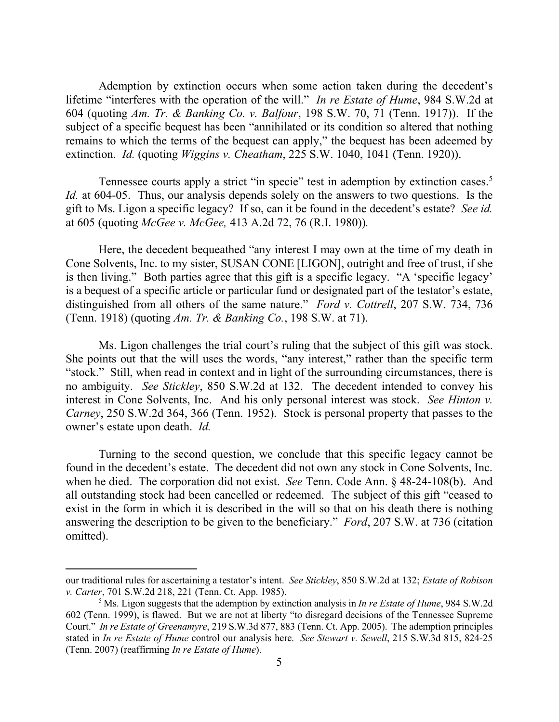Ademption by extinction occurs when some action taken during the decedent's lifetime "interferes with the operation of the will." *In re Estate of Hume*, 984 S.W.2d at 604 (quoting *Am. Tr. & Banking Co. v. Balfour*, 198 S.W. 70, 71 (Tenn. 1917)). If the subject of a specific bequest has been "annihilated or its condition so altered that nothing remains to which the terms of the bequest can apply," the bequest has been adeemed by extinction. *Id.* (quoting *Wiggins v. Cheatham*, 225 S.W. 1040, 1041 (Tenn. 1920)).

Tennessee courts apply a strict "in specie" test in ademption by extinction cases.<sup>5</sup> *Id.* at 604-05. Thus, our analysis depends solely on the answers to two questions. Is the gift to Ms. Ligon a specific legacy? If so, can it be found in the decedent's estate? *See id.* at 605 (quoting *McGee v. McGee,* 413 A.2d 72, 76 (R.I. 1980))*.*

Here, the decedent bequeathed "any interest I may own at the time of my death in Cone Solvents, Inc. to my sister, SUSAN CONE [LIGON], outright and free of trust, if she is then living." Both parties agree that this gift is a specific legacy. "A 'specific legacy' is a bequest of a specific article or particular fund or designated part of the testator's estate, distinguished from all others of the same nature." *Ford v. Cottrell*, 207 S.W. 734, 736 (Tenn. 1918) (quoting *Am. Tr. & Banking Co.*, 198 S.W. at 71).

Ms. Ligon challenges the trial court's ruling that the subject of this gift was stock. She points out that the will uses the words, "any interest," rather than the specific term "stock." Still, when read in context and in light of the surrounding circumstances, there is no ambiguity. *See Stickley*, 850 S.W.2d at 132. The decedent intended to convey his interest in Cone Solvents, Inc. And his only personal interest was stock. *See Hinton v. Carney*, 250 S.W.2d 364, 366 (Tenn. 1952). Stock is personal property that passes to the owner's estate upon death. *Id.*

Turning to the second question, we conclude that this specific legacy cannot be found in the decedent's estate. The decedent did not own any stock in Cone Solvents, Inc. when he died. The corporation did not exist. *See* Tenn. Code Ann. § 48-24-108(b). And all outstanding stock had been cancelled or redeemed. The subject of this gift "ceased to exist in the form in which it is described in the will so that on his death there is nothing answering the description to be given to the beneficiary." *Ford*, 207 S.W. at 736 (citation omitted).

our traditional rules for ascertaining a testator's intent. *See Stickley*, 850 S.W.2d at 132; *Estate of Robison v. Carter*, 701 S.W.2d 218, 221 (Tenn. Ct. App. 1985).

<sup>5</sup> Ms. Ligon suggests that the ademption by extinction analysis in *In re Estate of Hume*, 984 S.W.2d 602 (Tenn. 1999), is flawed. But we are not at liberty "to disregard decisions of the Tennessee Supreme Court." *In re Estate of Greenamyre*, 219 S.W.3d 877, 883 (Tenn. Ct. App. 2005). The ademption principles stated in *In re Estate of Hume* control our analysis here. *See Stewart v. Sewell*, 215 S.W.3d 815, 824-25 (Tenn. 2007) (reaffirming *In re Estate of Hume*).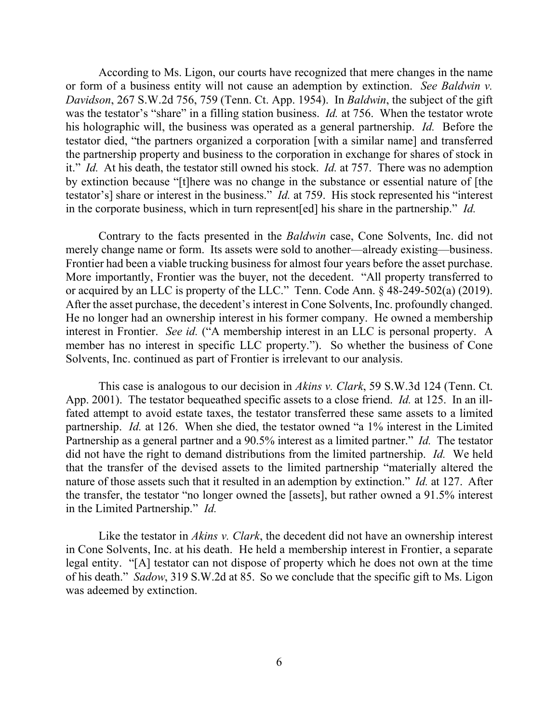According to Ms. Ligon, our courts have recognized that mere changes in the name or form of a business entity will not cause an ademption by extinction. *See Baldwin v. Davidson*, 267 S.W.2d 756, 759 (Tenn. Ct. App. 1954). In *Baldwin*, the subject of the gift was the testator's "share" in a filling station business. *Id.* at 756. When the testator wrote his holographic will, the business was operated as a general partnership. *Id.* Before the testator died, "the partners organized a corporation [with a similar name] and transferred the partnership property and business to the corporation in exchange for shares of stock in it." *Id.* At his death, the testator still owned his stock. *Id.* at 757. There was no ademption by extinction because "[t]here was no change in the substance or essential nature of [the testator's] share or interest in the business." *Id.* at 759. His stock represented his "interest in the corporate business, which in turn represent[ed] his share in the partnership." *Id.*

Contrary to the facts presented in the *Baldwin* case, Cone Solvents, Inc. did not merely change name or form. Its assets were sold to another—already existing—business. Frontier had been a viable trucking business for almost four years before the asset purchase. More importantly, Frontier was the buyer, not the decedent. "All property transferred to or acquired by an LLC is property of the LLC." Tenn. Code Ann. § 48-249-502(a) (2019). After the asset purchase, the decedent's interest in Cone Solvents, Inc. profoundly changed. He no longer had an ownership interest in his former company. He owned a membership interest in Frontier. *See id.* ("A membership interest in an LLC is personal property. A member has no interest in specific LLC property."). So whether the business of Cone Solvents, Inc. continued as part of Frontier is irrelevant to our analysis.

This case is analogous to our decision in *Akins v. Clark*, 59 S.W.3d 124 (Tenn. Ct. App. 2001). The testator bequeathed specific assets to a close friend. *Id.* at 125. In an illfated attempt to avoid estate taxes, the testator transferred these same assets to a limited partnership. *Id.* at 126. When she died, the testator owned "a 1% interest in the Limited Partnership as a general partner and a 90.5% interest as a limited partner." *Id.* The testator did not have the right to demand distributions from the limited partnership. *Id.* We held that the transfer of the devised assets to the limited partnership "materially altered the nature of those assets such that it resulted in an ademption by extinction." *Id.* at 127. After the transfer, the testator "no longer owned the [assets], but rather owned a 91.5% interest in the Limited Partnership." *Id.*

Like the testator in *Akins v. Clark*, the decedent did not have an ownership interest in Cone Solvents, Inc. at his death. He held a membership interest in Frontier, a separate legal entity. "[A] testator can not dispose of property which he does not own at the time of his death." *Sadow*, 319 S.W.2d at 85. So we conclude that the specific gift to Ms. Ligon was adeemed by extinction.